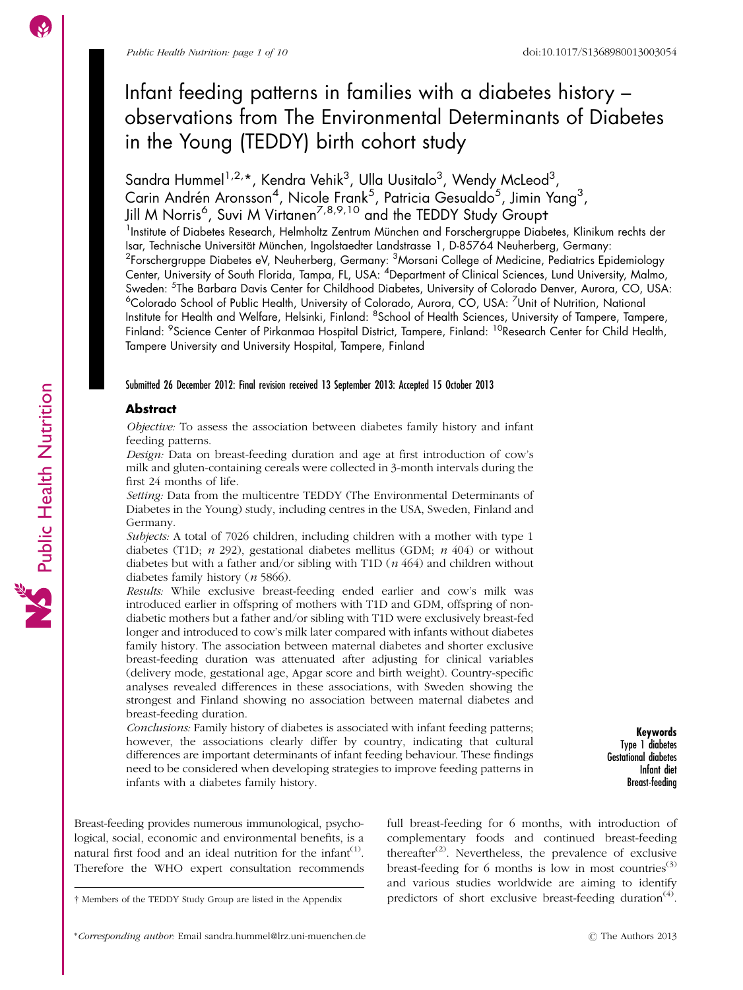# Infant feeding patterns in families with a diabetes history – observations from The Environmental Determinants of Diabetes in the Young (TEDDY) birth cohort study

Sandra Hummel<sup>1,2,\*</sup>, Kendra Vehik<sup>3</sup>, Ulla Uusitalo<sup>3</sup>, Wendy McLeod<sup>3</sup>, Carin Andrén Aronsson<sup>4</sup>, Nicole Frank<sup>5</sup>, Patricia Gesualdo<sup>5</sup>, Jimin Yang<sup>3</sup>, Jill M Norris<sup>6</sup>, Suvi M Virtanen<sup>7,8,9,10</sup> and the TEDDY Study Groupt

<sup>1</sup>Institute of Diabetes Research, Helmholtz Zentrum München and Forschergruppe Diabetes, Klinikum rechts der Isar, Technische Universität München, Ingolstaedter Landstrasse 1, D-85764 Neuherberg, Germany:  $^2$ Forschergruppe Diabetes eV, Neuherberg, Germany:  $^3$ Morsani College of Medicine, Pediatrics Epidemiology Center, University of South Florida, Tampa, FL, USA: <sup>4</sup>Department of Clinical Sciences, Lund University, Malmo, Sweden: <sup>5</sup>The Barbara Davis Center for Childhood Diabetes, University of Colorado Denver, Aurora, CO, USA: <sup>6</sup>Colorado School of Public Health, University of Colorado, Aurora, CO, USA: <sup>7</sup>Unit of Nutrition, National Institute for Health and Welfare, Helsinki, Finland: <sup>8</sup>School of Health Sciences, University of Tampere, Tampere, Finland: <sup>9</sup>Science Center of Pirkanmaa Hospital District, Tampere, Finland: <sup>10</sup>Research Center for Child Health, Tampere University and University Hospital, Tampere, Finland

### Submitted 26 December 2012: Final revision received 13 September 2013: Accepted 15 October 2013

### **Abstract**

Objective: To assess the association between diabetes family history and infant feeding patterns.

Design: Data on breast-feeding duration and age at first introduction of cow's milk and gluten-containing cereals were collected in 3-month intervals during the first 24 months of life.

Setting: Data from the multicentre TEDDY (The Environmental Determinants of Diabetes in the Young) study, including centres in the USA, Sweden, Finland and Germany.

Subjects: A total of 7026 children, including children with a mother with type 1 diabetes (T1D;  $n$  292), gestational diabetes mellitus (GDM;  $n$  404) or without diabetes but with a father and/or sibling with T1D  $(n 464)$  and children without diabetes family history (n 5866).

Results: While exclusive breast-feeding ended earlier and cow's milk was introduced earlier in offspring of mothers with T1D and GDM, offspring of nondiabetic mothers but a father and/or sibling with T1D were exclusively breast-fed longer and introduced to cow's milk later compared with infants without diabetes family history. The association between maternal diabetes and shorter exclusive breast-feeding duration was attenuated after adjusting for clinical variables (delivery mode, gestational age, Apgar score and birth weight). Country-specific analyses revealed differences in these associations, with Sweden showing the strongest and Finland showing no association between maternal diabetes and breast-feeding duration.

Conclusions: Family history of diabetes is associated with infant feeding patterns; however, the associations clearly differ by country, indicating that cultural differences are important determinants of infant feeding behaviour. These findings need to be considered when developing strategies to improve feeding patterns in infants with a diabetes family history.

Keywords Type 1 diabetes Gestational diabetes Infant diet Breast-feeding

Breast-feeding provides numerous immunological, psychological, social, economic and environmental benefits, is a natural first food and an ideal nutrition for the infant $(1)$ . Therefore the WHO expert consultation recommends

y Members of the TEDDY Study Group are listed in the Appendix

full breast-feeding for 6 months, with introduction of complementary foods and continued breast-feeding thereafter<sup>([2](#page-8-0))</sup>. Nevertheless, the prevalence of exclusive breast-feeding for 6 months is low in most countries<sup>([3](#page-8-0))</sup> and various studies worldwide are aiming to identify predictors of short exclusive breast-feeding duration<sup>[\(4\)](#page-8-0)</sup>.

\*Corresponding author: Email sandra.hummel@lrz.uni-muenchen.de  $\odot$  The Authors 2013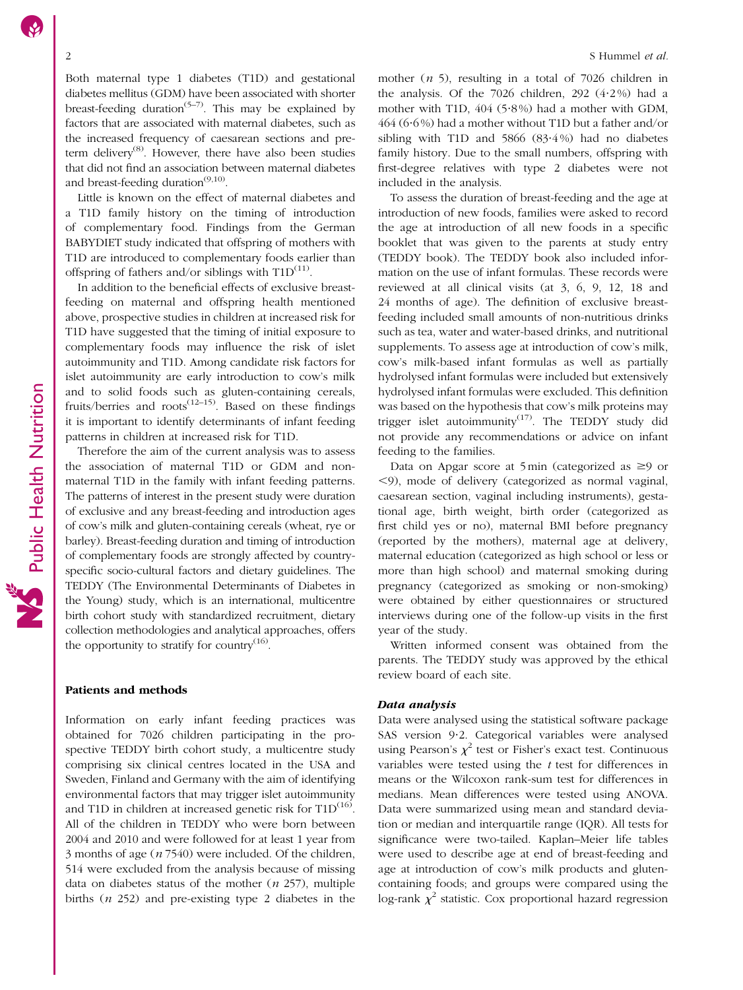Both maternal type 1 diabetes (T1D) and gestational diabetes mellitus (GDM) have been associated with shorter breast-feeding duration<sup> $(5-7)$ </sup>. This may be explained by factors that are associated with maternal diabetes, such as the increased frequency of caesarean sections and pre-term delivery<sup>[\(8\)](#page-8-0)</sup>. However, there have also been studies that did not find an association between maternal diabetes and breast-feeding duration<sup>([9,10](#page-8-0))</sup>.

Little is known on the effect of maternal diabetes and a T1D family history on the timing of introduction of complementary food. Findings from the German BABYDIET study indicated that offspring of mothers with T1D are introduced to complementary foods earlier than offspring of fathers and/or siblings with  $T1D^{(11)}$  $T1D^{(11)}$  $T1D^{(11)}$ .

In addition to the beneficial effects of exclusive breastfeeding on maternal and offspring health mentioned above, prospective studies in children at increased risk for T1D have suggested that the timing of initial exposure to complementary foods may influence the risk of islet autoimmunity and T1D. Among candidate risk factors for islet autoimmunity are early introduction to cow's milk and to solid foods such as gluten-containing cereals, fruits/berries and roots<sup> $(12-15)$ </sup>. Based on these findings it is important to identify determinants of infant feeding patterns in children at increased risk for T1D.

Therefore the aim of the current analysis was to assess the association of maternal T1D or GDM and nonmaternal T1D in the family with infant feeding patterns. The patterns of interest in the present study were duration of exclusive and any breast-feeding and introduction ages of cow's milk and gluten-containing cereals (wheat, rye or barley). Breast-feeding duration and timing of introduction of complementary foods are strongly affected by countryspecific socio-cultural factors and dietary guidelines. The TEDDY (The Environmental Determinants of Diabetes in the Young) study, which is an international, multicentre birth cohort study with standardized recruitment, dietary collection methodologies and analytical approaches, offers the opportunity to stratify for country $<sup>(16)</sup>$  $<sup>(16)</sup>$  $<sup>(16)</sup>$ .</sup>

## Patients and methods

Information on early infant feeding practices was obtained for 7026 children participating in the prospective TEDDY birth cohort study, a multicentre study comprising six clinical centres located in the USA and Sweden, Finland and Germany with the aim of identifying environmental factors that may trigger islet autoimmunity and T1D in children at increased genetic risk for  $T1D^{(16)}$  $T1D^{(16)}$  $T1D^{(16)}$ . All of the children in TEDDY who were born between 2004 and 2010 and were followed for at least 1 year from 3 months of age (n 7540) were included. Of the children, 514 were excluded from the analysis because of missing data on diabetes status of the mother  $(n 257)$ , multiple births  $(n 252)$  and pre-existing type 2 diabetes in the

mother  $(n 5)$ , resulting in a total of 7026 children in the analysis. Of the  $7026$  children,  $292$   $(4.2\%)$  had a mother with T1D,  $404$  (5.8%) had a mother with GDM,  $464 (6.6\%)$  had a mother without T1D but a father and/or sibling with T1D and 5866  $(83.4\%)$  had no diabetes family history. Due to the small numbers, offspring with first-degree relatives with type 2 diabetes were not included in the analysis.

To assess the duration of breast-feeding and the age at introduction of new foods, families were asked to record the age at introduction of all new foods in a specific booklet that was given to the parents at study entry (TEDDY book). The TEDDY book also included information on the use of infant formulas. These records were reviewed at all clinical visits (at 3, 6, 9, 12, 18 and 24 months of age). The definition of exclusive breastfeeding included small amounts of non-nutritious drinks such as tea, water and water-based drinks, and nutritional supplements. To assess age at introduction of cow's milk, cow's milk-based infant formulas as well as partially hydrolysed infant formulas were included but extensively hydrolysed infant formulas were excluded. This definition was based on the hypothesis that cow's milk proteins may trigger islet autoimmunity<sup>[\(17](#page-8-0))</sup>. The TEDDY study did not provide any recommendations or advice on infant feeding to the families.

Data on Apgar score at 5 min (categorized as  $\geq$ 9 or  $\leq$ 9), mode of delivery (categorized as normal vaginal, caesarean section, vaginal including instruments), gestational age, birth weight, birth order (categorized as first child yes or no), maternal BMI before pregnancy (reported by the mothers), maternal age at delivery, maternal education (categorized as high school or less or more than high school) and maternal smoking during pregnancy (categorized as smoking or non-smoking) were obtained by either questionnaires or structured interviews during one of the follow-up visits in the first year of the study.

Written informed consent was obtained from the parents. The TEDDY study was approved by the ethical review board of each site.

#### Data analysis

Data were analysed using the statistical software package SAS version 9.2. Categorical variables were analysed using Pearson's  $\chi^2$  test or Fisher's exact test. Continuous variables were tested using the  $t$  test for differences in means or the Wilcoxon rank-sum test for differences in medians. Mean differences were tested using ANOVA. Data were summarized using mean and standard deviation or median and interquartile range (IQR). All tests for significance were two-tailed. Kaplan–Meier life tables were used to describe age at end of breast-feeding and age at introduction of cow's milk products and glutencontaining foods; and groups were compared using the log-rank  $\chi^2$  statistic. Cox proportional hazard regression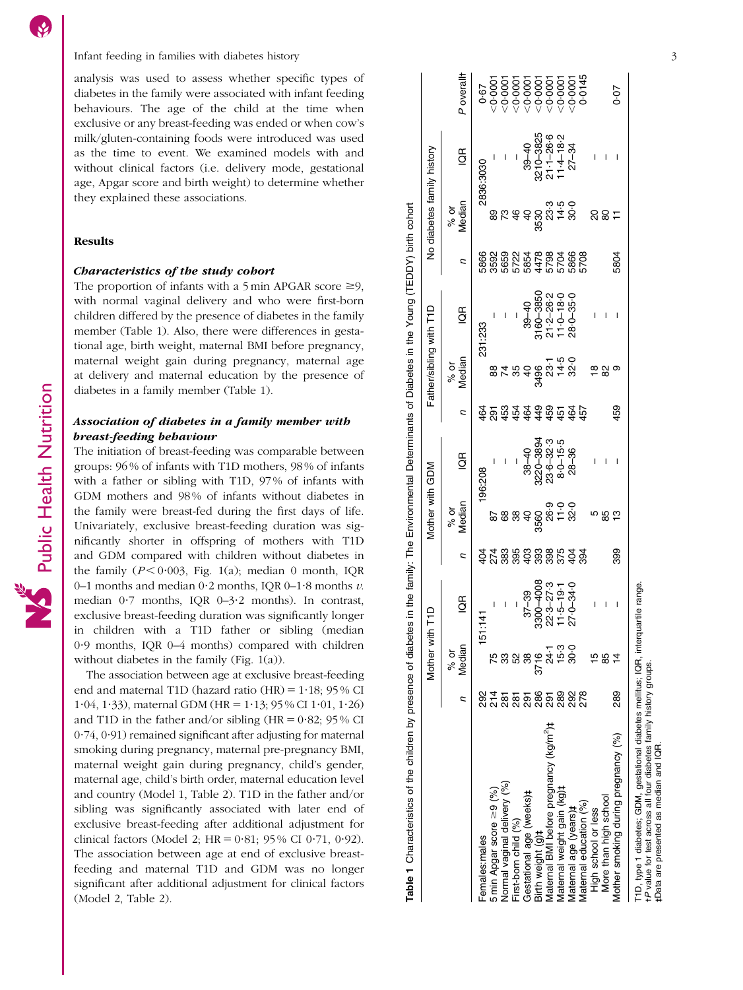Infant feeding in families with diabetes history

analysis was used to assess whether specific types of diabetes in the family were associated with infant feeding behaviours. The age of the child at the time when exclusive or any breast-feeding was ended or when cow's milk/gluten-containing foods were introduced was used as the time to event. We examined models with and without clinical factors (i.e. delivery mode, gestational age, Apgar score and birth weight) to determine whether they explained these associations.

## Results

#### Characteristics of the study cohort

The proportion of infants with a 5 min APGAR score  $\geq$ 9, with normal vaginal delivery and who were first-born children differed by the presence of diabetes in the family member (Table 1). Also, there were differences in gestational age, birth weight, maternal BMI before pregnancy, maternal weight gain during pregnancy, maternal age at delivery and maternal education by the presence of diabetes in a family member (Table 1).

# Association of diabetes in a family member with breast-feeding behaviour

The initiation of breast-feeding was comparable between groups: 96 % of infants with T1D mothers, 98 % of infants with a father or sibling with T1D, 97 % of infants with GDM mothers and 98% of infants without diabetes in the family were breast-fed during the first days of life. Univariately, exclusive breast-feeding duration was significantly shorter in offspring of mothers with T1D and GDM compared with children without diabetes in the family  $(P < 0.003$ , [Fig. 1\(a\)](#page-3-0); median 0 month, IQR 0–1 months and median 0 $\cdot$ 2 months, IQR 0–1 $\cdot$ 8 months  $v$ . median 0 ?7 months, IQR 0–3 ?2 months). In contrast, exclusive breast-feeding duration was significantly longer in children with a T1D father or sibling (median 0?9 months, IQR 0–4 months) compared with children without diabetes in the family ([Fig. 1\(a\)\)](#page-3-0).

The association between age at exclusive breast-feeding end and maternal T1D (hazard ratio  $(HR) = 1.18$ ; 95 % CI 1.04, 1.33), maternal GDM (HR =  $1.13$ ; 95 % CI 1.01, 1.26) and T1D in the father and/or sibling  $(HR = 0.82; 95\%$  CI 0 ?74, 0 ?91) remained significant after adjusting for maternal smoking during pregnancy, maternal pre-pregnancy BMI, maternal weight gain during pregnancy, child's gender, maternal age, child's birth order, maternal education level and country (Model 1, [Table 2](#page-4-0)). T1D in the father and/or sibling was significantly associated with later end of exclusive breast-feeding after additional adjustment for clinical factors (Model 2;  $HR = 0.81$ ; 95% CI 0.71, 0.92). The association between age at end of exclusive breastfeeding and maternal T1D and GDM was no longer significant after additional adjustment for clinical factors (Model 2, [Table 2](#page-4-0)).

Median IQR P overalloverall+  $-0.0001$ 1 000.0V – 68 02656 – 88 1623 – 1 28 1727 – 912 1727 – 275 – 182 978 – 2759 – 275  $-0.0001$ 100010V – 1 62 6999 – 1 142 691 – 89 688 – 88 – 88 – 883 – (%) Nasiliappreunions reuusion reuusion delivery reu First-born = 9 – 392 – 395 995 – 986 996 – 392 – 282 – 392 – 392 – 393 – 393 – 394 354 – 452 – 464 351 – 394 – LOO010> 0t+08 0t+ 1989 0t+08 0t+08 0t+08 0t+08 0t+ 80t+ 88+1 88+108 98 1001 400 14 4.8¥8eawN e5tereway e5terewa 1900 0∨ 3288101282 32247 08980−0916 9676 977 4688−0228 0996 806 8007−0088 9128 3220 3110 1100101 401  $50000$ Maternal BMI before pregnancy (kg/m<sup>2</sup>)‡ 291 241 22:3–27:3 398 26:9 23:6–32:3 459 23:1 21:2–26:2 5798 23:3 21:1–26:6 ∧001 Maternal weight gain (kg)t gain (kg)-- 389 15°3 11°5–19°4 11°5–19°4 11°5–19°4 11°5–19°4 11°5 11°4–18°2 ,0°001001  $-0.000$  $-0.000$  $-0.000$  $000 - 000$  $0.67$ Females:males 292 151:141 404 404 196:208 404 464 231:233 5866 5866 2896:3030 0.67  $\overline{a}$ 10-3825  $-26.6$  $-4 - 18 - 2$  $\overline{9}$ No diabetes family history Mother with T1D Mother with GDM Father/sibling with T1D No diabetes family history 2836:3030 % or<br>Median  $14.5$ <br>30.0 89  $\frac{6}{5}$  $\frac{1}{2}$ 530 ್ಸಿ 8<br>828429060<br>828429060<br>8284884  $\overline{c}$ Median IQR n 3160-3850  $21.2 - 26.2$  $11.0 - 18.0$  $39 - 40$ Father/sibling with T1D  $\overline{6}$  $\overline{1}$  $\overline{1}$ 231:233 % or<br>Median  $14.5$  $\overline{a}$ 3496 49  $\overline{a}$ <u>ដូង្</u>  $\frac{4}{9}$ 59 <u>ក្នុ ក្នុ</u>  $\frac{2}{9}$   $\frac{2}{9}$ Median IQR n 8220-3894  $8 - 0 - 15 - 5$ 23.6–32.3  $38 - 40$  $\overline{6}$ Mother with GDM 802:508 % or<br>Median  $889$ 3560 32383386348<br>2788398853  $\overline{a}$ Median IQR n 3300-4008  $37 - 39$  $1.5 - 19$  $\frac{a}{2}$ Mother with T1D  $51:141$ Median % or و.<br>15 3716 788 38 ន្ត្រី = = = = = = = = =<br>ន្ត្រី = = = = = = = = = = nMaternal BMI before pregnancy (kg/m<sup>2</sup>)# yormal vaginal delivery (%) Maternal weight gain (kg)# 5 min Apgar score  $\geq$ 9 (%) Gestational age (weeks)# First-born child (%) Birth weight (g)‡ Females:males

Maternal age (years)-- 292 30?0 27?0–34?0 404 32?0 28–36 464 32?0 28?0–35?0 5866 30?0 27–34 ,0?0001 Maternal education (%) 278 394 457 5708 0?0145

જે

 $27.0 - 34.0$ 

o.os

 $0 - 35 - 0$ 

œ

32.0

 $-0.0001$ 

 $0.07$ 

 $1 + 1 + 1$ 

 $885$ 

 $1 - 1 - 1$ 

 $\frac{\infty}{6}$   $\frac{\infty}{6}$ 

 $5804$ 

High school or less 15 – 5 – 18 – 20 – More than high school 85 – 85 – 82 – 80 –

**5** 8 9

 $\mathsf{I}-\mathsf{I}$ 

 $1587$ 

289

Mother smoking during pregnancy (%)

More than high school Maternal education (%) Maternal age (years)**t** High school or less

Mother the smoking during during and a smoking during on the smoking during the smoking during during during du<br>Σε τι το τους τι το τους τι τι το που τι τι το που τι τι το που τι τι το που τι τι το που τι τι το που τι τ

399

 $1 - 1 - 1$ 

459

Table 1 Characteristics of the children by presence of diabetes in the family: The Environmental Determinants of Diabetes in the Young (TEDDY) birth cohort

Table 1 Characteristics of the children by presence of diabetes in the family. The Environmental Determinants of Diabetes in the Young (TEDDY) birth cohort

T1D, type 1 diabetes; GDM, gestational diabetes mellitus; IQR, interquartile range.<br>FP value for test across all four diabetes family history groups.<br>£Data are presented as median and IQR. T1D, type 1 diabetes; GDM, gestational diabetes mellitus; IQR, interquartile range.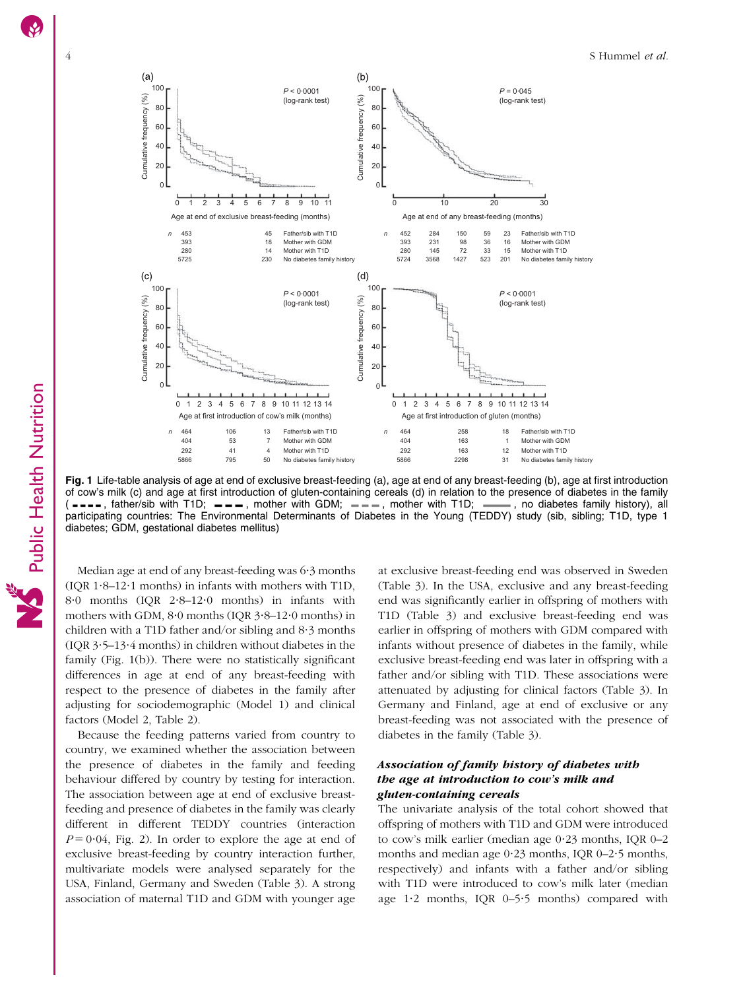<span id="page-3-0"></span>

Fig. 1 Life-table analysis of age at end of exclusive breast-feeding (a), age at end of any breast-feeding (b), age at first introduction of cow's milk (c) and age at first introduction of gluten-containing cereals (d) in relation to the presence of diabetes in the family  $(----,$  father/sib with T1D;  $---,$  mother with GDM;  $---,$  mother with T1D;  $---,$  no diabete  $(- - - -$ , father/sib with T1D;  $- - -$ , mother with GDM;  $- - -$ , mother with T1D; participating countries: The Environmental Determinants of Diabetes in the Young (TEDDY) study (sib, sibling; T1D, type 1 diabetes; GDM, gestational diabetes mellitus)

Median age at end of any breast-feeding was  $6·3$  months (IQR 1?8–12?1 months) in infants with mothers with T1D, 8?0 months (IQR 2?8–12?0 months) in infants with mothers with GDM,  $8.0$  months (IQR  $3.8-12.0$  months) in children with a T1D father and/or sibling and  $8.3$  months (IQR  $3.5-13.4$  months) in children without diabetes in the family (Fig. 1(b)). There were no statistically significant differences in age at end of any breast-feeding with respect to the presence of diabetes in the family after adjusting for sociodemographic (Model 1) and clinical factors (Model 2, [Table 2\)](#page-4-0).

Because the feeding patterns varied from country to country, we examined whether the association between the presence of diabetes in the family and feeding behaviour differed by country by testing for interaction. The association between age at end of exclusive breastfeeding and presence of diabetes in the family was clearly different in different TEDDY countries (interaction  $P = 0.04$ , [Fig. 2](#page-5-0)). In order to explore the age at end of exclusive breast-feeding by country interaction further, multivariate models were analysed separately for the USA, Finland, Germany and Sweden [\(Table 3\)](#page-6-0). A strong association of maternal T1D and GDM with younger age

at exclusive breast-feeding end was observed in Sweden ([Table 3\)](#page-6-0). In the USA, exclusive and any breast-feeding end was significantly earlier in offspring of mothers with T1D ([Table 3](#page-6-0)) and exclusive breast-feeding end was earlier in offspring of mothers with GDM compared with infants without presence of diabetes in the family, while exclusive breast-feeding end was later in offspring with a father and/or sibling with T1D. These associations were attenuated by adjusting for clinical factors [\(Table 3](#page-6-0)). In Germany and Finland, age at end of exclusive or any breast-feeding was not associated with the presence of diabetes in the family [\(Table 3](#page-6-0)).

# Association of family history of diabetes with the age at introduction to cow's milk and gluten-containing cereals

The univariate analysis of the total cohort showed that offspring of mothers with T1D and GDM were introduced to cow's milk earlier (median age 0?23 months, IQR 0–2 months and median age 0.23 months, IQR 0-2.5 months, respectively) and infants with a father and/or sibling with T1D were introduced to cow's milk later (median age 1.2 months, IQR 0-5.5 months) compared with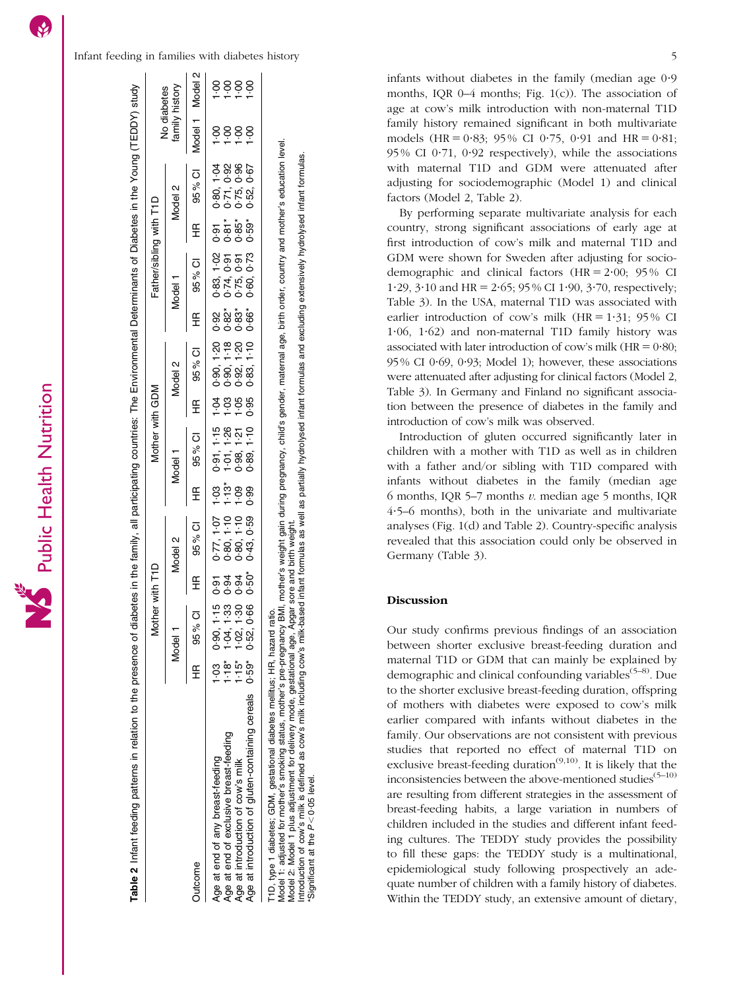<span id="page-4-0"></span>

| 1odel 1<br>Model 2<br><b><i>Aother with GDM</i></b><br>Vlodel<br>Į<br>lodel.<br>Ë | abetes in the family, all participating countries: The Environmental Determinants of Diabetes in the Young (TEDDY) study<br>her wi<br>Č<br>J<br>É<br>J<br>ieath an the and se | No diabete.<br>th Tip<br>Father/sibling wit <sup>1</sup> | amily histor<br>Vlodel 2 |
|-----------------------------------------------------------------------------------|-------------------------------------------------------------------------------------------------------------------------------------------------------------------------------|----------------------------------------------------------|--------------------------|
|                                                                                   |                                                                                                                                                                               |                                                          |                          |
|                                                                                   |                                                                                                                                                                               |                                                          |                          |
|                                                                                   |                                                                                                                                                                               |                                                          |                          |
|                                                                                   |                                                                                                                                                                               |                                                          |                          |

| Jutcome                                                                    | .<br>≆       | ិ<br>ខ<br>95%                                                | £ | 95% CI                                              | £ | 95% CI                                                           | £                                                                                                               | 95 % CI                                                      | ∉                                         | 95% CI                                               | £                                      | 95 % Cl                                              | Model 1 Model 2 |              |
|----------------------------------------------------------------------------|--------------|--------------------------------------------------------------|---|-----------------------------------------------------|---|------------------------------------------------------------------|-----------------------------------------------------------------------------------------------------------------|--------------------------------------------------------------|-------------------------------------------|------------------------------------------------------|----------------------------------------|------------------------------------------------------|-----------------|--------------|
| Age at end of exclusive breast-feeding<br>Age at end of any breast-feeding | ဒို<br>$18*$ | $0.90, 1.15$<br>$1.04, 1.33$<br>$1.02, 1.30$<br>$0.52, 0.66$ |   | 88110<br>01110<br>01111<br>်<br>လိစ္စစ္စစ္<br>(၁၀၀၀ |   | 5<br>5<br>5<br>5 5 5 5 6<br>5 5 5 7 7<br>့<br>၁၁၁ ၈ ၈<br>၁ – ၁ ၁ | $\frac{1}{2}$ $\frac{1}{2}$ $\frac{1}{2}$ $\frac{1}{2}$ $\frac{1}{2}$ $\frac{1}{2}$ $\frac{1}{2}$ $\frac{1}{2}$ | $0.90, 1.20$<br>$0.90, 1.18$<br>$0.92, 1.20$<br>$0.83, 1.10$ | စ် အို့ အို့<br>လွှတ် အို့<br>လွှတ် လွှတ် | 0.83, 1.02<br>0.74, 0.91<br>0.75, 0.91<br>0.60, 0.73 | a<br>5 = 5 = 5<br>5 = 5 =<br>5 = 5 = 5 | 0.80, 1.04<br>0.71, 0.96<br>0.75, 0.96<br>0.52, 0.67 | esses<br>Fri    | 8888<br>---- |
| Age at introduction of cow's milk                                          | $1.15*$      |                                                              |   |                                                     |   |                                                                  |                                                                                                                 |                                                              |                                           |                                                      |                                        |                                                      |                 |              |
| Age at introduction of gluten-containing cereals 0.59*                     |              |                                                              |   |                                                     |   |                                                                  |                                                                                                                 |                                                              |                                           |                                                      |                                        |                                                      |                 |              |
| T1D tune 1 dishetes: GDM gestational dishetes mellitus: HB hazard i        |              | atio                                                         |   |                                                     |   |                                                                  |                                                                                                                 |                                                              |                                           |                                                      |                                        |                                                      |                 |              |

T1D, type 1 diabetes; GDM, gestational diabetes mellitus; HR, hazard ratio.

Model 1: adjusted for mother's smoking status, mother's pre-pregnancy BMI, mother's weight gain during pregnancy, child's gender, maternal age, birth order, country and mother's education level. Model 2: Model 1 plus adjustment for delivery mode, gestational age, Apgar sore and birth weight.

Introduction of cow's milk is defined as cow's milk including cow's milk-based infant formulas as well as partially hydrolysed infant formulas and excluding extensively hydrolysed infant formulas. \*Significant at the P , $< 0.05$  level.

infants without diabetes in the family (median age  $0.9$ months, IQR 0–4 months; [Fig. 1\(c\)\)](#page-3-0). The association of age at cow's milk introduction with non-maternal T1D family history remained significant in both multivariate models (HR =  $0.83$ ; 95% CI 0.75, 0.91 and HR =  $0.81$ ; 95% CI 0.71, 0.92 respectively), while the associations with maternal T1D and GDM were attenuated after adjusting for sociodemographic (Model 1) and clinical factors (Model 2, Table 2).

By performing separate multivariate analysis for each country, strong significant associations of early age at first introduction of cow's milk and maternal T1D and GDM were shown for Sweden after adjusting for sociodemographic and clinical factors  $(HR = 2.00; 95\% \text{ CI})$ 1.29, 3.10 and HR =  $2.65$ ; 95 % CI 1.90, 3.70, respectively; [Table 3\)](#page-6-0). In the USA, maternal T1D was associated with earlier introduction of cow's milk  $(HR = 1.31; 95\% \text{ CI})$  $1.06$ ,  $1.62$ ) and non-maternal T1D family history was associated with later introduction of cow's milk  $(HR = 0.80)$ .  $95\%$  CI 0.69, 0.93; Model 1); however, these associations were attenuated after adjusting for clinical factors (Model 2, [Table 3\)](#page-6-0). In Germany and Finland no significant association between the presence of diabetes in the family and introduction of cow's milk was observed.

Introduction of gluten occurred significantly later in children with a mother with T1D as well as in children with a father and/or sibling with T1D compared with infants without diabetes in the family (median age 6 months, IQR 5–7 months  $v$ . median age 5 months, IQR 4?5–6 months), both in the univariate and multivariate analyses [\(Fig. 1\(d\)](#page-3-0) and Table 2). Country-specific analysis revealed that this association could only be observed in Germany [\(Table 3\)](#page-6-0).

# Discussion

Our study confirms previous findings of an association between shorter exclusive breast-feeding duration and maternal T1D or GDM that can mainly be explained by demographic and clinical confounding variables<sup> $(5-8)$  $(5-8)$  $(5-8)$  $(5-8)$  $(5-8)$ </sup>. Due to the shorter exclusive breast-feeding duration, offspring of mothers with diabetes were exposed to cow's milk earlier compared with infants without diabetes in the family. Our observations are not consistent with previous studies that reported no effect of maternal T1D on exclusive breast-feeding duration<sup> $(9,10)$ </sup>. It is likely that the inconsistencies between the above-mentioned studies<sup> $(5-10)$ </sup> are resulting from different strategies in the assessment of breast-feeding habits, a large variation in numbers of children included in the studies and different infant feeding cultures. The TEDDY study provides the possibility to fill these gaps: the TEDDY study is a multinational, epidemiological study following prospectively an adequate number of children with a family history of diabetes. Within the TEDDY study, an extensive amount of dietary,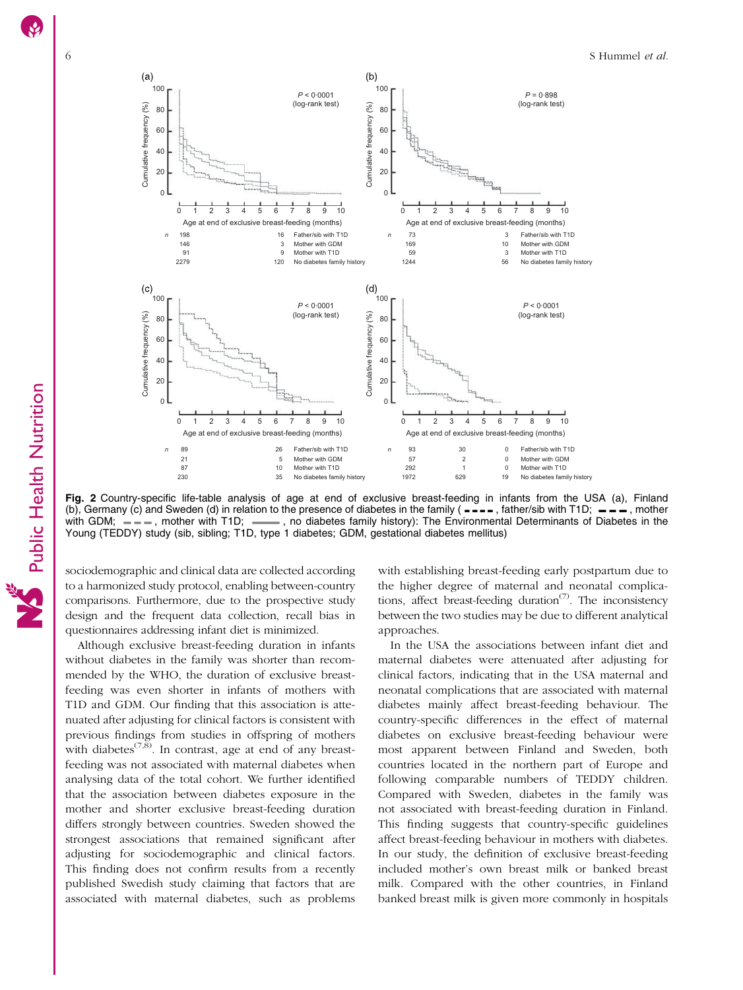

Fig. 2 Country-specific life-table analysis of age at end of exclusive breast-feeding in infants from the USA (a), Finland (b), Germany (c) and Sweden (d) in relation to the presence of diabetes in the family ( $---$ , father/sib with T1D;  $---$ , mother with T1D; , mother with T1D; , mother with T1D; , mother with T1D; , and diabetes family history  $-$ , no diabetes family history): The Environmental Determinants of Diabetes in the Young (TEDDY) study (sib, sibling; T1D, type 1 diabetes; GDM, gestational diabetes mellitus)

sociodemographic and clinical data are collected according to a harmonized study protocol, enabling between-country comparisons. Furthermore, due to the prospective study design and the frequent data collection, recall bias in questionnaires addressing infant diet is minimized.

Although exclusive breast-feeding duration in infants without diabetes in the family was shorter than recommended by the WHO, the duration of exclusive breastfeeding was even shorter in infants of mothers with T1D and GDM. Our finding that this association is attenuated after adjusting for clinical factors is consistent with previous findings from studies in offspring of mothers with diabetes<sup> $(7,8)$  $(7,8)$ </sup>. In contrast, age at end of any breastfeeding was not associated with maternal diabetes when analysing data of the total cohort. We further identified that the association between diabetes exposure in the mother and shorter exclusive breast-feeding duration differs strongly between countries. Sweden showed the strongest associations that remained significant after adjusting for sociodemographic and clinical factors. This finding does not confirm results from a recently published Swedish study claiming that factors that are associated with maternal diabetes, such as problems

with establishing breast-feeding early postpartum due to the higher degree of maternal and neonatal complications, affect breast-feeding duration<sup> $(7)$  $(7)$  $(7)$ </sup>. The inconsistency between the two studies may be due to different analytical approaches.

In the USA the associations between infant diet and maternal diabetes were attenuated after adjusting for clinical factors, indicating that in the USA maternal and neonatal complications that are associated with maternal diabetes mainly affect breast-feeding behaviour. The country-specific differences in the effect of maternal diabetes on exclusive breast-feeding behaviour were most apparent between Finland and Sweden, both countries located in the northern part of Europe and following comparable numbers of TEDDY children. Compared with Sweden, diabetes in the family was not associated with breast-feeding duration in Finland. This finding suggests that country-specific guidelines affect breast-feeding behaviour in mothers with diabetes. In our study, the definition of exclusive breast-feeding included mother's own breast milk or banked breast milk. Compared with the other countries, in Finland banked breast milk is given more commonly in hospitals

<span id="page-5-0"></span>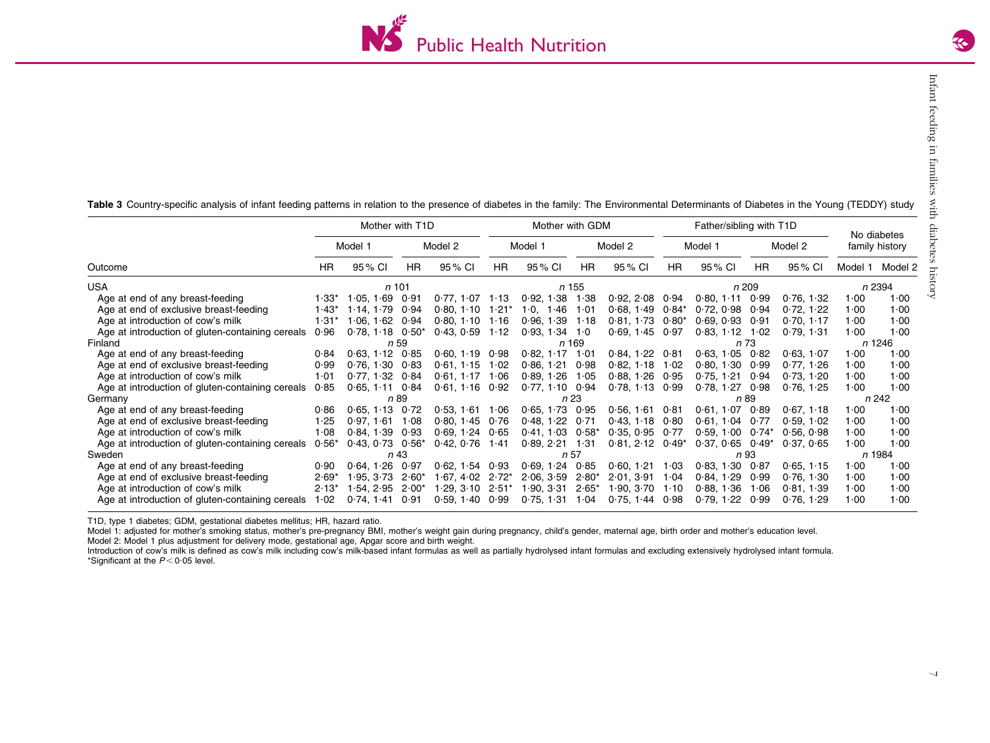

<span id="page-6-0"></span>Table 3 Country-specific analysis of infant feeding patterns in relation to the presence of diabetes in the family: The Environmental Determinants of Diabetes in the Young (TEDDY) study

|                                                  | Mother with T1D |                      |         |                      |           | Mother with GDM          |           |                      | Father/sibling with T1D |                      |           |            |         | No diabetes    |
|--------------------------------------------------|-----------------|----------------------|---------|----------------------|-----------|--------------------------|-----------|----------------------|-------------------------|----------------------|-----------|------------|---------|----------------|
|                                                  |                 | Model 1              |         | Model 2              |           | Model 1                  |           | Model 2              |                         | Model 1              |           | Model 2    |         | family history |
| Outcome                                          | <b>HR</b>       | 95% CI               | HR.     | 95 % CI              | <b>HR</b> | 95% CI                   | <b>HR</b> | 95 % CI              | <b>HR</b>               | 95 % CI              | <b>HR</b> | 95 % CI    | Model 1 | Model 2        |
| <b>USA</b>                                       |                 | $n$ 101              |         |                      |           |                          | n 155     |                      |                         |                      | n 209     |            |         | n 2394         |
| Age at end of any breast-feeding                 | 1∙33*           | 1.05, 1.69           | 0.91    | $0.77, 1.07$ 1.13    |           | 0.92, 1.38               | 1.38      | $0.92, 2.08$ $0.94$  |                         | 0.80, 1.11           | 0.99      | 0.76, 1.32 | 1.00    | 1.00           |
| Age at end of exclusive breast-feeding           | 1∙43*           | 1.14, 1.79           | 0.94    | $0.80, 1.10$ $1.21*$ |           | $\cdot 0$ , 1 $\cdot 46$ | 1.01      | 0.68, 1.49           | $0.84*$                 | 0.72, 0.98           | 0.94      | 0.72, 1.22 | 1.00    | 1.00           |
| Age at introduction of cow's milk                | 1·31*           | $1.06, 1.62$ 0.94    |         | $0.80, 1.10$ 1.16    |           | $0.96, 1.39$ 1.18        |           | 0.81, 1.73           | $0.80*$                 | $0.69, 0.93$ $0.91$  |           | 0.70, 1.17 | 1.00    | 1.00           |
| Age at introduction of gluten-containing cereals | 0.96            | $0.78, 1.18$ $0.50*$ |         | $0.43, 0.59$ 1.12    |           | $0.93, 1.34$ 1.0         |           | $0.69, 1.45$ $0.97$  |                         | 0.83, 1.12           | 1.02      | 0.79.131   | 1.00    | 1.00           |
| Finland                                          |                 |                      | n 59    |                      |           |                          | n 169     |                      |                         |                      | n 73      |            |         | n 1246         |
| Age at end of any breast-feeding                 | 0.84            | $0.63, 1.12$ $0.85$  |         | $0.60, 1.19$ $0.98$  |           | $0.82, 1.17$ 1.01        |           | $0.84, 1.22$ $0.81$  |                         | $0.63, 1.05$ $0.82$  |           | 0.63, 1.07 | 1.00    | 1.00           |
| Age at end of exclusive breast-feeding           | 0.99            | $0.76, 1.30$ $0.83$  |         | $0.61, 1.15$ 1.02    |           | 0.86, 1.21               | 0.98      | 0.82, 1.18           | 1.02                    | 0.80, 1.30           | 0.99      | 0.77, 1.26 | 1.00    | 1.00           |
| Age at introduction of cow's milk                | 1.01            | $0.77, 1.32$ $0.84$  |         | $0.61, 1.17$ 1.06    |           | $0.89, 1.26$ 1.05        |           | $0.88, 1.26$ $0.95$  |                         | 0.75, 1.21, 0.94     |           | 0.73, 1.20 | 1.00    | 1.00           |
| Age at introduction of gluten-containing cereals | 0.85            | $0.65, 1.11$ $0.84$  |         | $0.61, 1.16$ $0.92$  |           | $0.77, 1.10$ $0.94$      |           | $0.78, 1.13$ $0.99$  |                         | 0.78, 1.27           | 0.98      | 0.76, 1.25 | 1.00    | 1.00           |
| Germany                                          |                 | n 89                 |         |                      |           | n 23                     |           |                      |                         | n 89                 |           |            | n 242   |                |
| Age at end of any breast-feeding                 | 0.86            | 0.65.113             | 0.72    | $0.53, 1.61$ 1.06    |           | $0.65, 1.73$ $0.95$      |           | 0.56, 1.61           | 0∙81                    | 0.61.1.07            | 0.89      | 0.67, 1.18 | 1.00    | 1.00           |
| Age at end of exclusive breast-feeding           | 1.25            | $0.97, 1.61$ 1.08    |         | $0.80, 1.45$ $0.76$  |           | $0.48, 1.22$ $0.71$      |           | $0.43, 1.18$ $0.80$  |                         | $0.61, 1.04$ $0.77$  |           | 0.59, 1.02 | 1.00    | 1.00           |
| Age at introduction of cow's milk                | 1.08            | 0.84.1.39            | 0.93    | $0.69, 1.24$ $0.65$  |           | $0.41.1.03$ $0.58*$      |           | $0.35, 0.95$ $0.77$  |                         | $0.59.100$ $0.74*$   |           | 0.56.0.98  | 1.00    | 1.00           |
| Age at introduction of gluten-containing cereals | $0.56*$         | $0.43, 0.73$ $0.56*$ |         | $0.42, 0.76$ 1.41    |           | $0.89, 2.21$ 1.31        |           | $0.81, 2.12$ $0.49*$ |                         | $0.37, 0.65$ $0.49*$ |           | 0.37, 0.65 | 1.00    | 1.00           |
| Sweden                                           |                 |                      | n 43    |                      |           | n 57                     |           |                      |                         | n 93                 |           | n 1984     |         |                |
| Age at end of any breast-feeding                 | 0.90            | 0.64, 1.26           | 0.97    | $0.62, 1.54$ $0.93$  |           | 0.69, 1.24               | 0.85      | 0.60, 1.21           | 1.03                    | 0.83, 1.30           | 0.87      | 0.65, 1.15 | 1.00    | 1.00           |
| Age at end of exclusive breast-feeding           | $2.69*$         | 1.95.3.73            | $2.60*$ | $1.67.4.02$ $2.72*$  |           | 2.06, 3.59               | $2.80*$   | 2.01.3.91            | 1.04                    | 0.84, 1.29           | 0.99      | 0.76, 1.30 | 1.00    | 1.00           |
| Age at introduction of cow's milk                | $2.13*$         | 1.54, 2.95           | $2.00*$ | $1.29, 3.10$ $2.51*$ |           | 1.90, 3.31               | $2.65*$   | 1.90, 3.70           | 1.10                    | 0.88, 1.36           | 1.06      | 0.81, 1.39 | 1.00    | 1.00           |
| Age at introduction of gluten-containing cereals | 1.02            | $0.74, 1.41$ $0.91$  |         | $0.59, 1.40$ $0.99$  |           | 0.75, 1.31               | 1∙04      | $0.75, 1.44$ $0.98$  |                         | $0.79, 1.22$ $0.99$  |           | 0.76, 1.29 | 1.00    | 1.00           |

T1D, type 1 diabetes; GDM, gestational diabetes mellitus; HR, hazard ratio.

Model 1: adjusted for mother's smoking status, mother's pre-pregnancy BMI, mother's weight gain during pregnancy, child's gender, maternal age, birth order and mother's education level.

Model 2: Model 1 plus adjustment for delivery mode, gestational age, Apgar score and birth weight.

Introduction of cow's milk is defined as cow's milk including cow's milk-based infant formulas as well as partially hydrolysed infant formulas and excluding extensively hydrolysed infant formula. \*Significant at the  $P < 0.05$  level.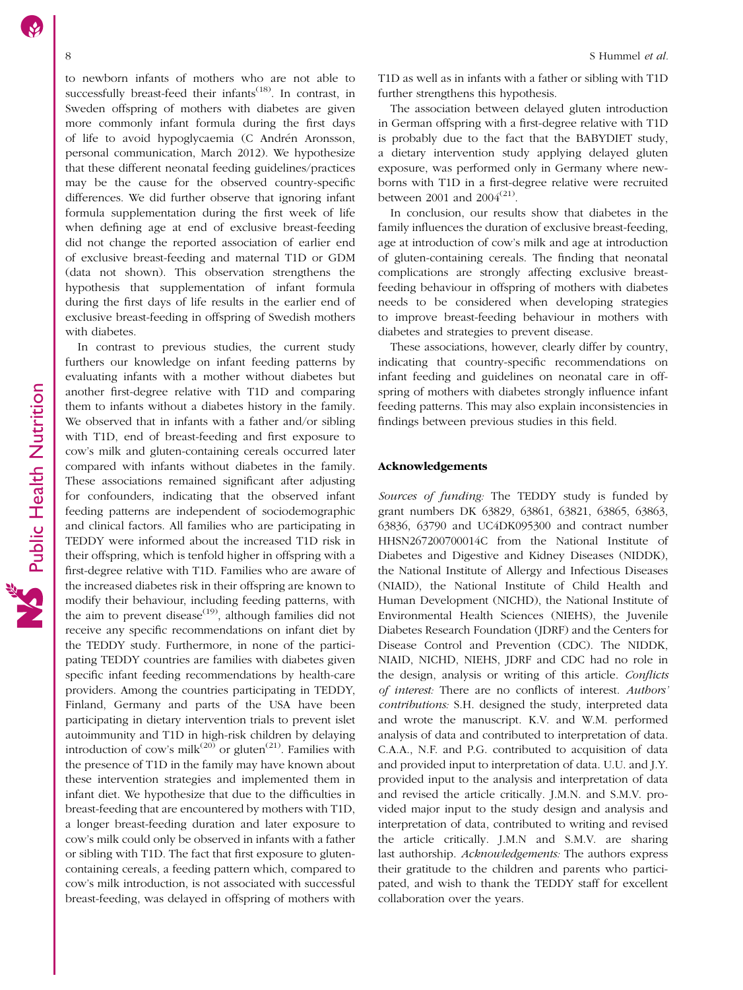to newborn infants of mothers who are not able to successfully breast-feed their infants<sup> $(18)$  $(18)$ </sup>. In contrast, in Sweden offspring of mothers with diabetes are given more commonly infant formula during the first days of life to avoid hypoglycaemia (C Andrén Aronsson, personal communication, March 2012). We hypothesize that these different neonatal feeding guidelines/practices may be the cause for the observed country-specific differences. We did further observe that ignoring infant formula supplementation during the first week of life when defining age at end of exclusive breast-feeding did not change the reported association of earlier end of exclusive breast-feeding and maternal T1D or GDM (data not shown). This observation strengthens the hypothesis that supplementation of infant formula during the first days of life results in the earlier end of exclusive breast-feeding in offspring of Swedish mothers with diabetes.

In contrast to previous studies, the current study furthers our knowledge on infant feeding patterns by evaluating infants with a mother without diabetes but another first-degree relative with T1D and comparing them to infants without a diabetes history in the family. We observed that in infants with a father and/or sibling with T1D, end of breast-feeding and first exposure to cow's milk and gluten-containing cereals occurred later compared with infants without diabetes in the family. These associations remained significant after adjusting for confounders, indicating that the observed infant feeding patterns are independent of sociodemographic and clinical factors. All families who are participating in TEDDY were informed about the increased T1D risk in their offspring, which is tenfold higher in offspring with a first-degree relative with T1D. Families who are aware of the increased diabetes risk in their offspring are known to modify their behaviour, including feeding patterns, with the aim to prevent disease<sup> $(19)$  $(19)$ </sup>, although families did not receive any specific recommendations on infant diet by the TEDDY study. Furthermore, in none of the participating TEDDY countries are families with diabetes given specific infant feeding recommendations by health-care providers. Among the countries participating in TEDDY, Finland, Germany and parts of the USA have been participating in dietary intervention trials to prevent islet autoimmunity and T1D in high-risk children by delaying introduction of cow's milk<sup>[\(20](#page-8-0))</sup> or gluten<sup>[\(21\)](#page-8-0)</sup>. Families with the presence of T1D in the family may have known about these intervention strategies and implemented them in infant diet. We hypothesize that due to the difficulties in breast-feeding that are encountered by mothers with T1D, a longer breast-feeding duration and later exposure to cow's milk could only be observed in infants with a father or sibling with T1D. The fact that first exposure to glutencontaining cereals, a feeding pattern which, compared to cow's milk introduction, is not associated with successful breast-feeding, was delayed in offspring of mothers with T1D as well as in infants with a father or sibling with T1D further strengthens this hypothesis.

The association between delayed gluten introduction in German offspring with a first-degree relative with T1D is probably due to the fact that the BABYDIET study, a dietary intervention study applying delayed gluten exposure, was performed only in Germany where newborns with T1D in a first-degree relative were recruited between 2001 and  $2004^{(21)}$  $2004^{(21)}$  $2004^{(21)}$ .

In conclusion, our results show that diabetes in the family influences the duration of exclusive breast-feeding, age at introduction of cow's milk and age at introduction of gluten-containing cereals. The finding that neonatal complications are strongly affecting exclusive breastfeeding behaviour in offspring of mothers with diabetes needs to be considered when developing strategies to improve breast-feeding behaviour in mothers with diabetes and strategies to prevent disease.

These associations, however, clearly differ by country, indicating that country-specific recommendations on infant feeding and guidelines on neonatal care in offspring of mothers with diabetes strongly influence infant feeding patterns. This may also explain inconsistencies in findings between previous studies in this field.

#### Acknowledgements

Sources of funding: The TEDDY study is funded by grant numbers DK 63829, 63861, 63821, 63865, 63863, 63836, 63790 and UC4DK095300 and contract number HHSN267200700014C from the National Institute of Diabetes and Digestive and Kidney Diseases (NIDDK), the National Institute of Allergy and Infectious Diseases (NIAID), the National Institute of Child Health and Human Development (NICHD), the National Institute of Environmental Health Sciences (NIEHS), the Juvenile Diabetes Research Foundation (JDRF) and the Centers for Disease Control and Prevention (CDC). The NIDDK, NIAID, NICHD, NIEHS, JDRF and CDC had no role in the design, analysis or writing of this article. Conflicts of interest: There are no conflicts of interest. Authors' contributions: S.H. designed the study, interpreted data and wrote the manuscript. K.V. and W.M. performed analysis of data and contributed to interpretation of data. C.A.A., N.F. and P.G. contributed to acquisition of data and provided input to interpretation of data. U.U. and J.Y. provided input to the analysis and interpretation of data and revised the article critically. J.M.N. and S.M.V. provided major input to the study design and analysis and interpretation of data, contributed to writing and revised the article critically. J.M.N and S.M.V. are sharing last authorship. Acknowledgements: The authors express their gratitude to the children and parents who participated, and wish to thank the TEDDY staff for excellent collaboration over the years.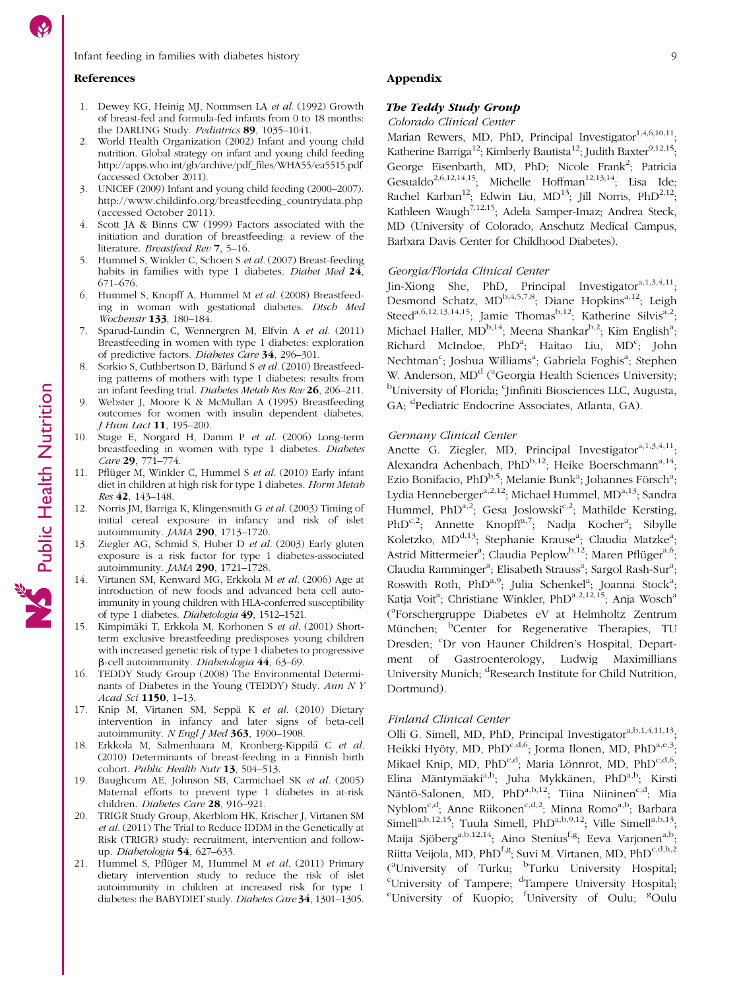#### <span id="page-8-0"></span>References

- 1. Dewey KG, Heinig MJ, Nommsen LA et al. (1992) Growth of breast-fed and formula-fed infants from 0 to 18 months: the DARLING Study. Pediatrics 89, 1035–1041.
- 2. World Health Organization (2002) Infant and young child nutrition. Global strategy on infant and young child feeding http://apps.who.int/gb/archive/pdf\_files/WHA55/ea5515.pdf (accessed October 2011).
- 3. UNICEF (2009) Infant and young child feeding (2000–2007). http://www.childinfo.org/breastfeeding\_countrydata.php (accessed October 2011).
- Scott JA & Binns CW (1999) Factors associated with the initiation and duration of breastfeeding: a review of the literature. Breastfeed Rev 7, 5–16.
- 5. Hummel S, Winkler C, Schoen S et al. (2007) Breast-feeding habits in families with type 1 diabetes. Diabet Med 24, 671–676.
- 6. Hummel S, Knopff A, Hummel M et al. (2008) Breastfeeding in woman with gestational diabetes. Dtsch Med Wochenstr 133, 180–184.
- 7. Sparud-Lundin C, Wennergren M, Elfvin A et al. (2011) Breastfeeding in women with type 1 diabetes: exploration of predictive factors. Diabetes Care 34, 296–301.
- Sorkio S, Cuthbertson D, Bärlund S et al. (2010) Breastfeeding patterns of mothers with type 1 diabetes: results from an infant feeding trial. Diabetes Metab Res Rev 26, 206–211.
- Webster J, Moore K & McMullan A (1995) Breastfeeding outcomes for women with insulin dependent diabetes. J Hum Lact 11, 195–200.
- 10. Stage E, Norgard H, Damm P et al. (2006) Long-term breastfeeding in women with type 1 diabetes. Diabetes Care 29, 771–774.
- Pflüger M, Winkler C, Hummel S et al. (2010) Early infant diet in children at high risk for type 1 diabetes. Horm Metab Res 42, 143–148.
- 12. Norris JM, Barriga K, Klingensmith G et al. (2003) Timing of initial cereal exposure in infancy and risk of islet autoimmunity. JAMA 290, 1713–1720.
- 13. Ziegler AG, Schmid S, Huber D et al. (2003) Early gluten exposure is a risk factor for type 1 diabetes-associated autoimmunity. JAMA 290, 1721–1728.
- 14. Virtanen SM, Kenward MG, Erkkola M et al. (2006) Age at introduction of new foods and advanced beta cell autoimmunity in young children with HLA-conferred susceptibility of type 1 diabetes. Diabetologia 49, 1512–1521.
- 15. Kimpimäki T, Erkkola M, Korhonen S et al. (2001) Shortterm exclusive breastfeeding predisposes young children with increased genetic risk of type 1 diabetes to progressive b-cell autoimmunity. Diabetologia 44, 63–69.
- 16. TEDDY Study Group (2008) The Environmental Determinants of Diabetes in the Young (TEDDY) Study. Ann N Y Acad Sci 1150, 1–13.
- 17. Knip M, Virtanen SM, Seppä K et al. (2010) Dietary intervention in infancy and later signs of beta-cell autoimmunity. N Engl J Med  $363$ , 1900-1908.
- 18. Erkkola M, Salmenhaara M, Kronberg-Kippilä C et al. (2010) Determinants of breast-feeding in a Finnish birth cohort. Public Health Nutr 13, 504-513.
- 19. Baughcum AE, Johnson SB, Carmichael SK et al. (2005) Maternal efforts to prevent type 1 diabetes in at-risk children. Diabetes Care 28, 916–921.
- 20. TRIGR Study Group, Akerblom HK, Krischer J, Virtanen SM et al. (2011) The Trial to Reduce IDDM in the Genetically at Risk (TRIGR) study: recruitment, intervention and followup. Diabetologia 54, 627–633.
- 21. Hummel S, Pflüger M, Hummel M et al. (2011) Primary dietary intervention study to reduce the risk of islet autoimmunity in children at increased risk for type 1 diabetes: the BABYDIET study. Diabetes Care 34, 1301–1305.

## Appendix

# The Teddy Study Group

#### Colorado Clinical Center

Marian Rewers, MD, PhD, Principal Investigator<sup>1,4,6,10,11</sup>; Katherine Barriga<sup>12</sup>; Kimberly Bautista<sup>12</sup>; Judith Baxter<sup>9,12,15</sup>; George Eisenbarth, MD, PhD; Nicole Frank<sup>2</sup>; Patricia Gesualdo<sup>2,6,12,14,15</sup>; Michelle Hoffman<sup>12,13,14</sup>; Lisa Ide; Rachel Karban<sup>12</sup>; Edwin Liu, MD<sup>13</sup>; Jill Norris, PhD<sup>2,12</sup>; Kathleen Waugh<sup>7,12,15</sup>; Adela Samper-Imaz; Andrea Steck, MD (University of Colorado, Anschutz Medical Campus, Barbara Davis Center for Childhood Diabetes).

#### Georgia/Florida Clinical Center

Jin-Xiong She, PhD, Principal Investigator<sup>a,1,3,4,11</sup>; Desmond Schatz, MD<sup>b,4,5,7,8</sup>; Diane Hopkins<sup>a,12</sup>; Leigh Steed<sup>a,6,12,13,14,15</sup>; Jamie Thomas<sup>b,12</sup>; Katherine Silvis<sup>a,2</sup>; Michael Haller, MD<sup>b,14</sup>; Meena Shankar<sup>b,2</sup>; Kim English<sup>a</sup>; Richard McIndoe, PhD<sup>a</sup>; Haitao Liu, MD<sup>c</sup>; John Nechtman<sup>c</sup>; Joshua Williams<sup>a</sup>; Gabriela Foghis<sup>a</sup>; Stephen W. Anderson, MD<sup>d</sup> (<sup>a</sup>Georgia Health Sciences University; <sup>b</sup>University of Florida; <sup>c</sup>Jinfiniti Biosciences LLC, Augusta, GA; <sup>d</sup> Pediatric Endocrine Associates, Atlanta, GA).

#### Germany Clinical Center

Anette G. Ziegler, MD, Principal Investigator $a^{4,1,3,4,11}$ ; Alexandra Achenbach, PhD $^{b,12}$ ; Heike Boerschmann<sup>a,14</sup>; Ezio Bonifacio, PhD<sup>b,5</sup>; Melanie Bunk<sup>a</sup>; Johannes Försch<sup>a</sup>; Lydia Henneberger<sup>a, 2, 12</sup>; Michael Hummel, MD<sup>a, 13</sup>; Sandra Hummel, PhD<sup>a,2</sup>; Gesa Joslowski<sup>c,2</sup>; Mathilde Kersting, PhD<sup>c,2</sup>; Annette Knopff<sup>a,7</sup>; Nadja Kocher<sup>a</sup>; Sibylle Koletzko, MD<sup>d,13</sup>; Stephanie Krause<sup>a</sup>; Claudia Matzke<sup>a</sup>; Astrid Mittermeier<sup>a</sup>; Claudia Peplow<sup>b,12</sup>; Maren Pflüger<sup>a,6</sup>; Claudia Ramminger<sup>a</sup>; Elisabeth Strauss<sup>a</sup>; Sargol Rash-Sur<sup>a</sup>; Roswith Roth, PhD<sup>a,9</sup>; Julia Schenkel<sup>a</sup>; Joanna Stock<sup>a</sup>; Katja Voit<sup>a</sup>; Christiane Winkler, PhD<sup>a,2,12,15</sup>; Anja Wosch<sup>a</sup> ( a Forschergruppe Diabetes eV at Helmholtz Zentrum München; <sup>b</sup>Center for Regenerative Therapies, TU Dresden; <sup>c</sup>Dr von Hauner Children's Hospital, Department of Gastroenterology, Ludwig Maximillians University Munich; <sup>d</sup>Research Institute for Child Nutrition, Dortmund).

#### Finland Clinical Center

Olli G. Simell, MD, PhD, Principal Investigator<sup>a,b,1,4,11,13</sup>: Heikki Hyöty, MD, PhD<sup>c,d,6</sup>; Jorma Ilonen, MD, PhD<sup>a,e,3</sup>; Mikael Knip, MD, PhD<sup>c,d</sup>; Maria Lönnrot, MD, PhD<sup>c,d,6</sup>; Elina Mäntymäaki<sup>a,b</sup>; Juha Mykkänen, PhD<sup>a,b</sup>; Kirsti Näntö-Salonen, MD, PhD<sup>a,b,12</sup>; Tiina Niininen<sup>c,d</sup>; Mia Nyblom<sup>c,d</sup>; Anne Riikonen<sup>c,d,2</sup>; Minna Romo<sup>a,b</sup>; Barbara Simell<sup>a,b,12,15</sup>; Tuula Simell, PhD<sup>a,b,9,12</sup>; Ville Simell<sup>a,b,13</sup>; Maija Sjöberg<sup>a,b,12,14</sup>; Aino Stenius<sup>f,g</sup>; Eeva Varjonen<sup>a,b</sup>; Riitta Veijola, MD, PhD<sup>f,g</sup>; Suvi M. Virtanen, MD, PhD<sup>c,d,h,2</sup> (<sup>a</sup>University of Turku; <sup>b</sup>Turku University Hospital; <sup>c</sup>University of Tampere; <sup>d</sup>Tampere University Hospital; <sup>e</sup>University of Kuopio; <sup>f</sup>University of Oulu; <sup>g</sup>Oulu